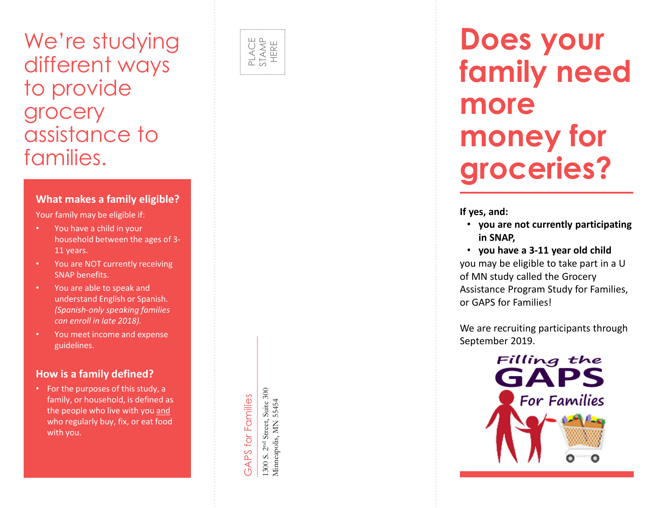## We're studying different ways to provide grocery assistance to families.

#### **What makes a family eligible?**

Your family may be eligible if:

- You have a child in your household between the ages of 3 - 11 years.
- You are NOT currently receiving SNAP benefits .
- You are able to speak and understand English or Spanish. *(Spanish -only speaking families can enroll in late 2018).*
- You meet income and expense guidelines.

#### **How is a family defined?**

• For the purposes of this study, a family, or household, is defined as the people who live with you and who regularly buy, fix, or eat food with you.



# GAPS for Families GAPS for Families

1300 S. 2<sup>nd</sup> Street, Suite 300<br>Minneapolis, MN 55454 1300 S. 2nd Street, Suite 300 Minneapolis, MN 55454

## **Does your family need more money for groceries?**

**If yes, and:**

- **you are not currently participating in SNAP,**
- **you have a 3 -11 year old child** you may be eligible to take part in a U of MN study called the Grocery Assistance Program Study for Families, or GAPS for Families!

We are recruiting participants through September 2019.